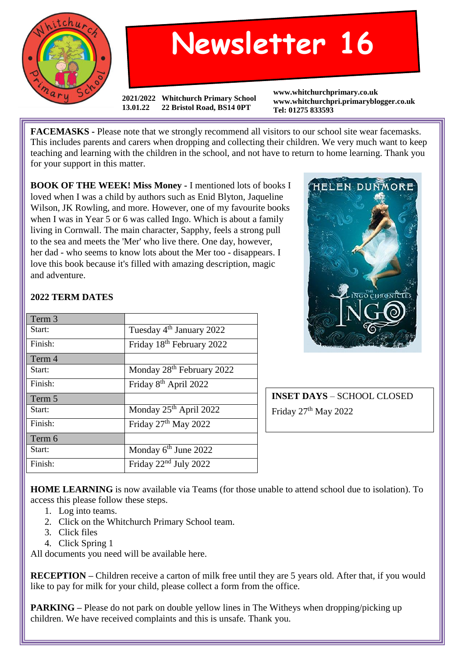

## **Newsletter 16**

**2021/2022 Whitchurch Primary School 13.01.22 22 Bristol Road, BS14 0PT**

**www.whitchurchprimary.co.uk www.whitchurchpri.primaryblogger.co.uk Tel: 01275 833593**

**FACEMASKS -** Please note that we strongly recommend all visitors to our school site wear facemasks. This includes parents and carers when dropping and collecting their children. We very much want to keep teaching and learning with the children in the school, and not have to return to home learning. Thank you for your support in this matter.

**BOOK OF THE WEEK! Miss Money -** I mentioned lots of books I loved when I was a child by authors such as Enid Blyton, Jaqueline Wilson, JK Rowling, and more. However, one of my favourite books when I was in Year 5 or 6 was called Ingo. Which is about a family living in Cornwall. The main character, Sapphy, feels a strong pull to the sea and meets the 'Mer' who live there. One day, however, her dad - who seems to know lots about the Mer too - disappears. I love this book because it's filled with amazing description, magic and adventure.



## **2022 TERM DATES**

| Term 3  |                                       |
|---------|---------------------------------------|
| Start:  | Tuesday 4 <sup>th</sup> January 2022  |
| Finish: | Friday 18th February 2022             |
| Term 4  |                                       |
| Start:  | Monday 28 <sup>th</sup> February 2022 |
| Finish: | Friday 8 <sup>th</sup> April 2022     |
| Term 5  |                                       |
| Start:  | Monday 25 <sup>th</sup> April 2022    |
| Finish: | Friday 27 <sup>th</sup> May 2022      |
| Term 6  |                                       |
| Start:  | Monday 6 <sup>th</sup> June 2022      |
|         |                                       |

**INSET DAYS** – SCHOOL CLOSED Friday 27<sup>th</sup> May 2022

**HOME LEARNING** is now available via Teams (for those unable to attend school due to isolation). To access this please follow these steps.

- 1. Log into teams.
- 2. Click on the Whitchurch Primary School team.
- 3. Click files
- 4. Click Spring 1

All documents you need will be available here.

**RECEPTION** – Children receive a carton of milk free until they are 5 years old. After that, if you would like to pay for milk for your child, please collect a form from the office.

**PARKING** – Please do not park on double yellow lines in The Witheys when dropping/picking up children. We have received complaints and this is unsafe. Thank you.